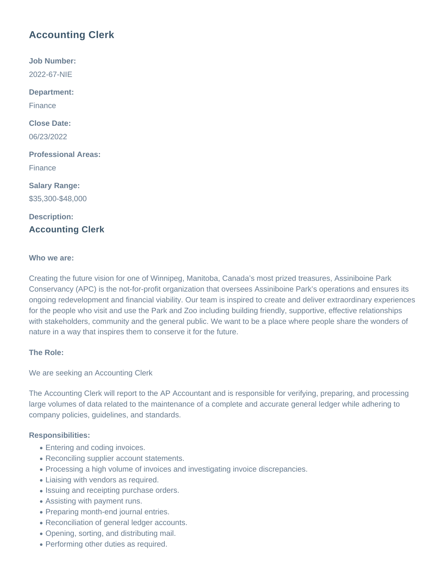# **Accounting Clerk**

**Job Number:** 2022-67-NIE **Department:** Finance **Close Date:** 06/23/2022 **Professional Areas:** Finance **Salary Range:** \$35,300-\$48,000 **Description:**

## **Accounting Clerk**

#### **Who we are:**

Creating the future vision for one of Winnipeg, Manitoba, Canada's most prized treasures, Assiniboine Park Conservancy (APC) is the not-for-profit organization that oversees Assiniboine Park's operations and ensures its ongoing redevelopment and financial viability. Our team is inspired to create and deliver extraordinary experiences for the people who visit and use the Park and Zoo including building friendly, supportive, effective relationships with stakeholders, community and the general public. We want to be a place where people share the wonders of nature in a way that inspires them to conserve it for the future.

#### **The Role:**

We are seeking an Accounting Clerk

The Accounting Clerk will report to the AP Accountant and is responsible for verifying, preparing, and processing large volumes of data related to the maintenance of a complete and accurate general ledger while adhering to company policies, guidelines, and standards.

#### **Responsibilities:**

- Entering and coding invoices.
- Reconciling supplier account statements.
- Processing a high volume of invoices and investigating invoice discrepancies.
- Liaising with vendors as required.
- Issuing and receipting purchase orders.
- Assisting with payment runs.
- Preparing month-end journal entries.
- Reconciliation of general ledger accounts.
- Opening, sorting, and distributing mail.
- Performing other duties as required.